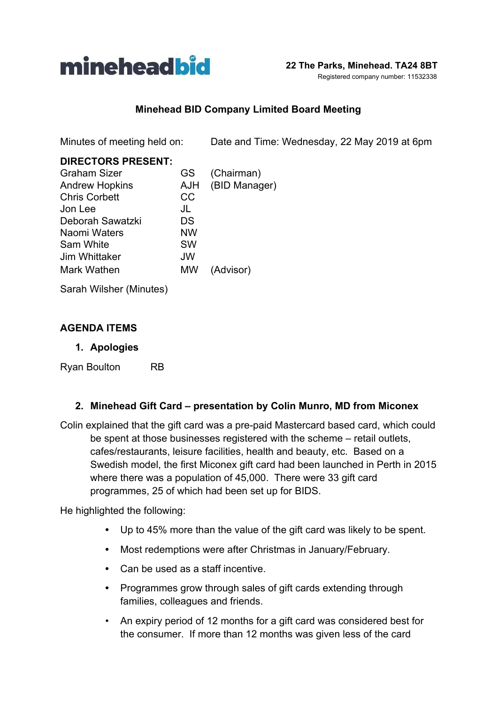

## **Minehead BID Company Limited Board Meeting**

Minutes of meeting held on: Date and Time: Wednesday, 22 May 2019 at 6pm

| <b>DIRECTORS PRESENT:</b> |           |               |
|---------------------------|-----------|---------------|
| <b>Graham Sizer</b>       | GS.       | (Chairman)    |
| <b>Andrew Hopkins</b>     | AJH       | (BID Manager) |
| <b>Chris Corbett</b>      | <b>CC</b> |               |
| Jon Lee                   | JL        |               |
| Deborah Sawatzki          | DS        |               |
| Naomi Waters              | NW        |               |
| Sam White                 | <b>SW</b> |               |
| Jim Whittaker             | <b>JW</b> |               |
| Mark Wathen               | MW        | (Advisor)     |
|                           |           |               |

Sarah Wilsher (Minutes)

### **AGENDA ITEMS**

#### **1. Apologies**

Ryan Boulton RB

### **2. Minehead Gift Card – presentation by Colin Munro, MD from Miconex**

Colin explained that the gift card was a pre-paid Mastercard based card, which could be spent at those businesses registered with the scheme – retail outlets, cafes/restaurants, leisure facilities, health and beauty, etc. Based on a Swedish model, the first Miconex gift card had been launched in Perth in 2015 where there was a population of 45,000. There were 33 gift card programmes, 25 of which had been set up for BIDS.

He highlighted the following:

- **•** Up to 45% more than the value of the gift card was likely to be spent.
- **•** Most redemptions were after Christmas in January/February.
- **•** Can be used as a staff incentive.
- **•** Programmes grow through sales of gift cards extending through families, colleagues and friends.
- An expiry period of 12 months for a gift card was considered best for the consumer. If more than 12 months was given less of the card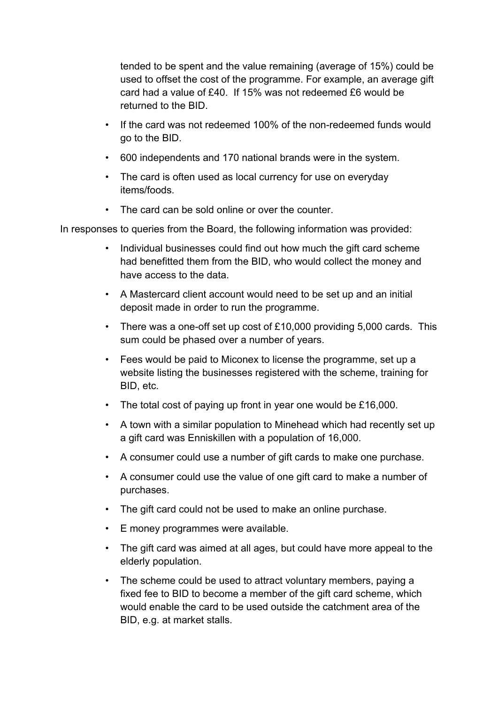tended to be spent and the value remaining (average of 15%) could be used to offset the cost of the programme. For example, an average gift card had a value of £40. If 15% was not redeemed £6 would be returned to the BID.

- If the card was not redeemed 100% of the non-redeemed funds would go to the BID.
- 600 independents and 170 national brands were in the system.
- The card is often used as local currency for use on everyday items/foods.
- The card can be sold online or over the counter.

In responses to queries from the Board, the following information was provided:

- Individual businesses could find out how much the gift card scheme had benefitted them from the BID, who would collect the money and have access to the data.
- A Mastercard client account would need to be set up and an initial deposit made in order to run the programme.
- There was a one-off set up cost of £10,000 providing 5,000 cards. This sum could be phased over a number of years.
- Fees would be paid to Miconex to license the programme, set up a website listing the businesses registered with the scheme, training for BID, etc.
- The total cost of paying up front in year one would be £16,000.
- A town with a similar population to Minehead which had recently set up a gift card was Enniskillen with a population of 16,000.
- A consumer could use a number of gift cards to make one purchase.
- A consumer could use the value of one gift card to make a number of purchases.
- The gift card could not be used to make an online purchase.
- E money programmes were available.
- The gift card was aimed at all ages, but could have more appeal to the elderly population.
- The scheme could be used to attract voluntary members, paying a fixed fee to BID to become a member of the gift card scheme, which would enable the card to be used outside the catchment area of the BID, e.g. at market stalls.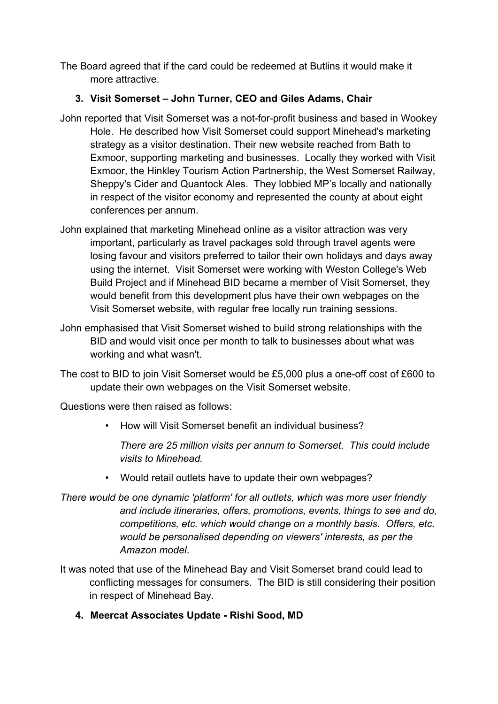The Board agreed that if the card could be redeemed at Butlins it would make it more attractive.

# **3. Visit Somerset – John Turner, CEO and Giles Adams, Chair**

- John reported that Visit Somerset was a not-for-profit business and based in Wookey Hole. He described how Visit Somerset could support Minehead's marketing strategy as a visitor destination. Their new website reached from Bath to Exmoor, supporting marketing and businesses. Locally they worked with Visit Exmoor, the Hinkley Tourism Action Partnership, the West Somerset Railway, Sheppy's Cider and Quantock Ales. They lobbied MP's locally and nationally in respect of the visitor economy and represented the county at about eight conferences per annum.
- John explained that marketing Minehead online as a visitor attraction was very important, particularly as travel packages sold through travel agents were losing favour and visitors preferred to tailor their own holidays and days away using the internet. Visit Somerset were working with Weston College's Web Build Project and if Minehead BID became a member of Visit Somerset, they would benefit from this development plus have their own webpages on the Visit Somerset website, with regular free locally run training sessions.
- John emphasised that Visit Somerset wished to build strong relationships with the BID and would visit once per month to talk to businesses about what was working and what wasn't.
- The cost to BID to join Visit Somerset would be £5,000 plus a one-off cost of £600 to update their own webpages on the Visit Somerset website.

Questions were then raised as follows:

• How will Visit Somerset benefit an individual business?

*There are 25 million visits per annum to Somerset. This could include visits to Minehead.*

- Would retail outlets have to update their own webpages?
- *There would be one dynamic 'platform' for all outlets, which was more user friendly and include itineraries, offers, promotions, events, things to see and do, competitions, etc. which would change on a monthly basis. Offers, etc. would be personalised depending on viewers' interests, as per the Amazon model*.
- It was noted that use of the Minehead Bay and Visit Somerset brand could lead to conflicting messages for consumers. The BID is still considering their position in respect of Minehead Bay.
	- **4. Meercat Associates Update Rishi Sood, MD**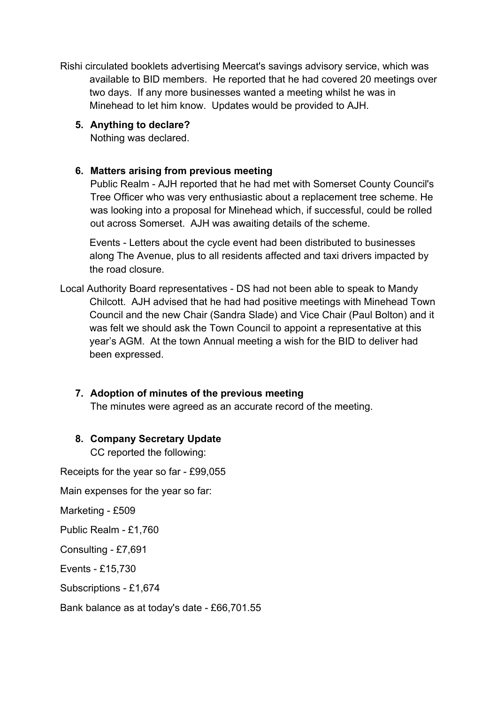Rishi circulated booklets advertising Meercat's savings advisory service, which was available to BID members. He reported that he had covered 20 meetings over two days. If any more businesses wanted a meeting whilst he was in Minehead to let him know. Updates would be provided to AJH.

## **5. Anything to declare?**

Nothing was declared.

# **6. Matters arising from previous meeting**

Public Realm - AJH reported that he had met with Somerset County Council's Tree Officer who was very enthusiastic about a replacement tree scheme. He was looking into a proposal for Minehead which, if successful, could be rolled out across Somerset. AJH was awaiting details of the scheme.

Events - Letters about the cycle event had been distributed to businesses along The Avenue, plus to all residents affected and taxi drivers impacted by the road closure.

Local Authority Board representatives - DS had not been able to speak to Mandy Chilcott. AJH advised that he had had positive meetings with Minehead Town Council and the new Chair (Sandra Slade) and Vice Chair (Paul Bolton) and it was felt we should ask the Town Council to appoint a representative at this year's AGM. At the town Annual meeting a wish for the BID to deliver had been expressed.

# **7. Adoption of minutes of the previous meeting**

The minutes were agreed as an accurate record of the meeting.

### **8. Company Secretary Update**

CC reported the following:

Receipts for the year so far - £99,055

Main expenses for the year so far:

Marketing - £509

Public Realm - £1,760

Consulting - £7,691

Events - £15,730

Subscriptions - £1,674

Bank balance as at today's date - £66,701.55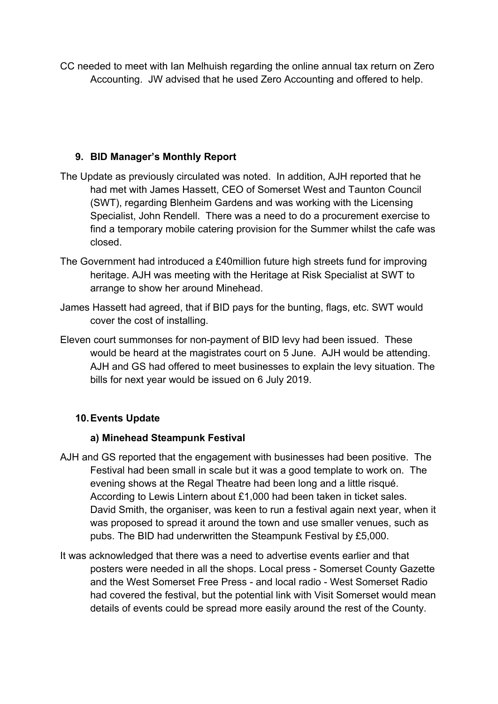CC needed to meet with Ian Melhuish regarding the online annual tax return on Zero Accounting. JW advised that he used Zero Accounting and offered to help.

## **9. BID Manager's Monthly Report**

- The Update as previously circulated was noted. In addition, AJH reported that he had met with James Hassett, CEO of Somerset West and Taunton Council (SWT), regarding Blenheim Gardens and was working with the Licensing Specialist, John Rendell. There was a need to do a procurement exercise to find a temporary mobile catering provision for the Summer whilst the cafe was closed.
- The Government had introduced a £40million future high streets fund for improving heritage. AJH was meeting with the Heritage at Risk Specialist at SWT to arrange to show her around Minehead.
- James Hassett had agreed, that if BID pays for the bunting, flags, etc. SWT would cover the cost of installing.
- Eleven court summonses for non-payment of BID levy had been issued. These would be heard at the magistrates court on 5 June. AJH would be attending. AJH and GS had offered to meet businesses to explain the levy situation. The bills for next year would be issued on 6 July 2019.

# **10.Events Update**

# **a) Minehead Steampunk Festival**

- AJH and GS reported that the engagement with businesses had been positive. The Festival had been small in scale but it was a good template to work on. The evening shows at the Regal Theatre had been long and a little risqué. According to Lewis Lintern about £1,000 had been taken in ticket sales. David Smith, the organiser, was keen to run a festival again next year, when it was proposed to spread it around the town and use smaller venues, such as pubs. The BID had underwritten the Steampunk Festival by £5,000.
- It was acknowledged that there was a need to advertise events earlier and that posters were needed in all the shops. Local press - Somerset County Gazette and the West Somerset Free Press - and local radio - West Somerset Radio had covered the festival, but the potential link with Visit Somerset would mean details of events could be spread more easily around the rest of the County.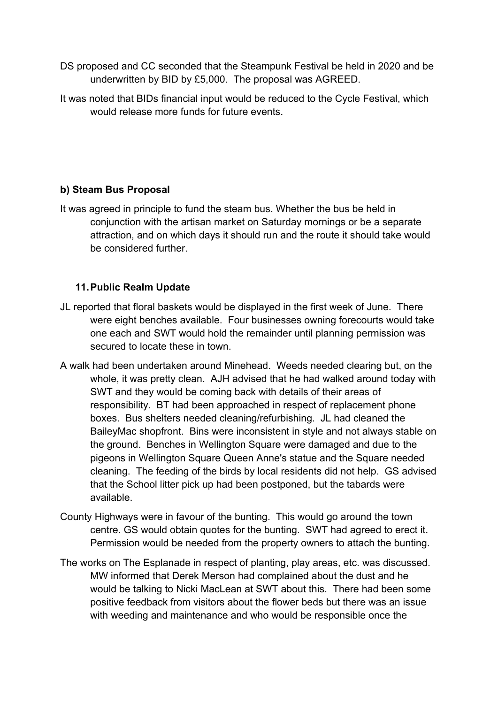- DS proposed and CC seconded that the Steampunk Festival be held in 2020 and be underwritten by BID by £5,000. The proposal was AGREED.
- It was noted that BIDs financial input would be reduced to the Cycle Festival, which would release more funds for future events.

## **b) Steam Bus Proposal**

It was agreed in principle to fund the steam bus. Whether the bus be held in conjunction with the artisan market on Saturday mornings or be a separate attraction, and on which days it should run and the route it should take would be considered further

## **11.Public Realm Update**

- JL reported that floral baskets would be displayed in the first week of June. There were eight benches available. Four businesses owning forecourts would take one each and SWT would hold the remainder until planning permission was secured to locate these in town.
- A walk had been undertaken around Minehead. Weeds needed clearing but, on the whole, it was pretty clean. AJH advised that he had walked around today with SWT and they would be coming back with details of their areas of responsibility. BT had been approached in respect of replacement phone boxes. Bus shelters needed cleaning/refurbishing. JL had cleaned the BaileyMac shopfront. Bins were inconsistent in style and not always stable on the ground. Benches in Wellington Square were damaged and due to the pigeons in Wellington Square Queen Anne's statue and the Square needed cleaning. The feeding of the birds by local residents did not help. GS advised that the School litter pick up had been postponed, but the tabards were available.
- County Highways were in favour of the bunting. This would go around the town centre. GS would obtain quotes for the bunting. SWT had agreed to erect it. Permission would be needed from the property owners to attach the bunting.
- The works on The Esplanade in respect of planting, play areas, etc. was discussed. MW informed that Derek Merson had complained about the dust and he would be talking to Nicki MacLean at SWT about this. There had been some positive feedback from visitors about the flower beds but there was an issue with weeding and maintenance and who would be responsible once the